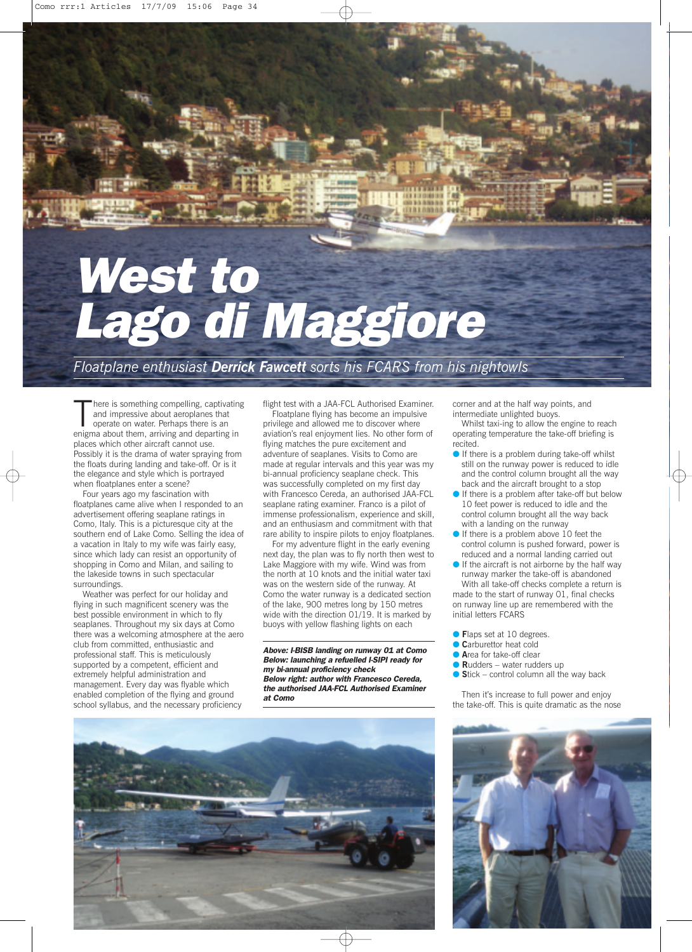## *West to Lago di Maggiore*

*Floatplane enthusiast Derrick Fawcett sorts his FCARS from his nightowls*

There is something compelling, captivatir<br>and impressive about aeroplanes that<br>operate on water. Perhaps there is an<br>enigma about them, arriving and departing in here is something compelling, captivating and impressive about aeroplanes that operate on water. Perhaps there is an places which other aircraft cannot use. Possibly it is the drama of water spraying from the floats during landing and take-off. Or is it the elegance and style which is portrayed when floatplanes enter a scene?

Four years ago my fascination with floatplanes came alive when I responded to an advertisement offering seaplane ratings in Como, Italy. This is a picturesque city at the southern end of Lake Como. Selling the idea of a vacation in Italy to my wife was fairly easy, since which lady can resist an opportunity of shopping in Como and Milan, and sailing to the lakeside towns in such spectacular surroundings.

Weather was perfect for our holiday and flying in such magnificent scenery was the best possible environment in which to fly seaplanes. Throughout my six days at Como there was a welcoming atmosphere at the aero club from committed, enthusiastic and professional staff. This is meticulously supported by a competent, efficient and extremely helpful administration and management. Every day was flyable which enabled completion of the flying and ground school syllabus, and the necessary proficiency

flight test with a JAA-FCL Authorised Examiner.

Floatplane flying has become an impulsive privilege and allowed me to discover where aviation's real enjoyment lies. No other form of flying matches the pure excitement and adventure of seaplanes. Visits to Como are made at regular intervals and this year was my bi-annual proficiency seaplane check. This was successfully completed on my first day with Francesco Cereda, an authorised JAA-FCL seaplane rating examiner. Franco is a pilot of immense professionalism, experience and skill, and an enthusiasm and commitment with that rare ability to inspire pilots to enjoy floatplanes.

For my adventure flight in the early evening next day, the plan was to fly north then west to Lake Maggiore with my wife. Wind was from the north at 10 knots and the initial water taxi was on the western side of the runway. At Como the water runway is a dedicated section of the lake, 900 metres long by 150 metres wide with the direction 01/19. It is marked by buoys with yellow flashing lights on each

*Above: I-BISB landing on runway 01 at Como Below: launching a refuelled I-SIPI ready for my bi-annual proficiency check Below right: author with Francesco Cereda, the authorised JAA-FCL Authorised Examiner at Como*

corner and at the half way points, and intermediate unlighted buoys.

Whilst taxi-ing to allow the engine to reach operating temperature the take-off briefing is recited.

- If there is a problem during take-off whilst still on the runway power is reduced to idle and the control column brought all the way back and the aircraft brought to a stop
- If there is a problem after take-off but below 10 feet power is reduced to idle and the control column brought all the way back with a landing on the runway
- If there is a problem above 10 feet the control column is pushed forward, power is reduced and a normal landing carried out
- If the aircraft is not airborne by the half way runway marker the take-off is abandoned

With all take-off checks complete a return is made to the start of runway 01, final checks on runway line up are remembered with the initial letters FCARS

- **Flaps set at 10 degrees.**
- **Carburettor heat cold**
- **A**rea for take-off clear
- **Rudders** water rudders up
- Stick control column all the way back

Then it's increase to full power and enjoy the take-off. This is quite dramatic as the nose